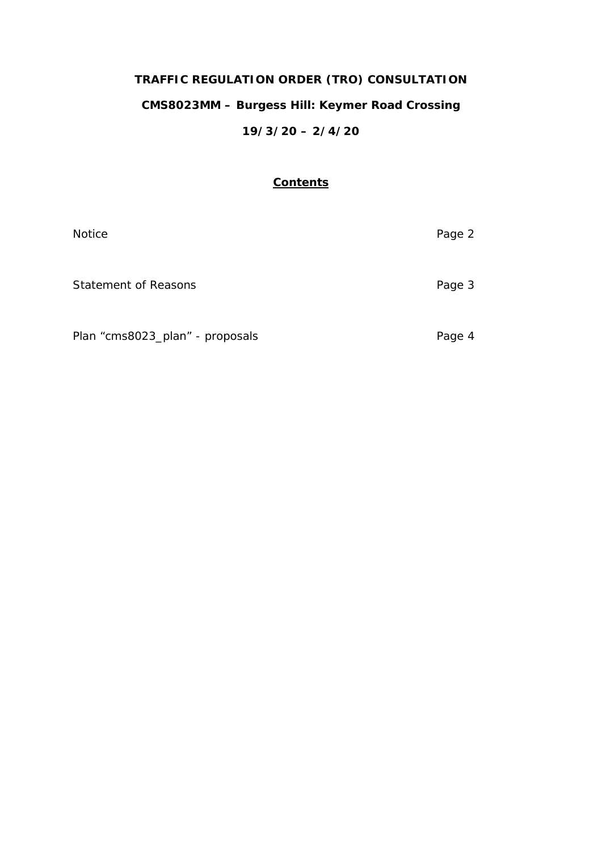# **TRAFFIC REGULATION ORDER (TRO) CONSULTATION**

# **CMS8023MM – Burgess Hill: Keymer Road Crossing**

# **19/3/20 – 2/4/20**

#### **Contents**

| <b>Notice</b>                   | Page 2 |
|---------------------------------|--------|
| <b>Statement of Reasons</b>     | Page 3 |
| Plan "cms8023_plan" - proposals | Page 4 |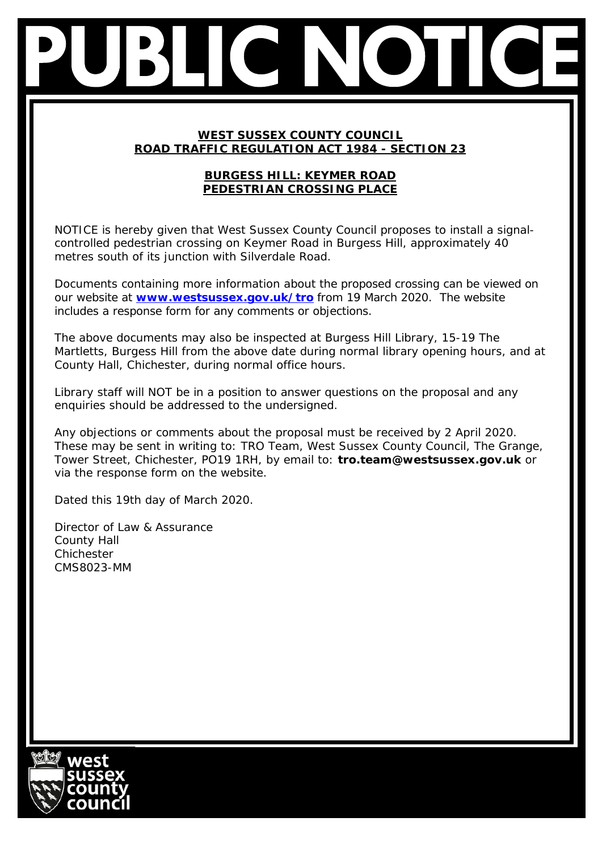### **WEST SUSSEX COUNTY COUNCIL ROAD TRAFFIC REGULATION ACT 1984 - SECTION 23**

## **BURGESS HILL: KEYMER ROAD PEDESTRIAN CROSSING PLACE**

NOTICE is hereby given that West Sussex County Council proposes to install a signalcontrolled pedestrian crossing on Keymer Road in Burgess Hill, approximately 40 metres south of its junction with Silverdale Road.

Documents containing more information about the proposed crossing can be viewed on our website at **[www.westsussex.gov.uk/tro](http://www.westsussex.gov.uk/tro)** from 19 March 2020. The website includes a response form for any comments or objections.

The above documents may also be inspected at Burgess Hill Library, 15-19 The Martletts, Burgess Hill from the above date during normal library opening hours, and at County Hall, Chichester, during normal office hours.

Library staff will NOT be in a position to answer questions on the proposal and any enquiries should be addressed to the undersigned.

Any objections or comments about the proposal must be received by 2 April 2020. These may be sent in writing to: TRO Team, West Sussex County Council, The Grange, Tower Street, Chichester, PO19 1RH, by email to: **tro.team@westsussex.gov.uk** or via the response form on the website.

Dated this 19th day of March 2020.

Director of Law & Assurance County Hall Chichester CMS8023-MM

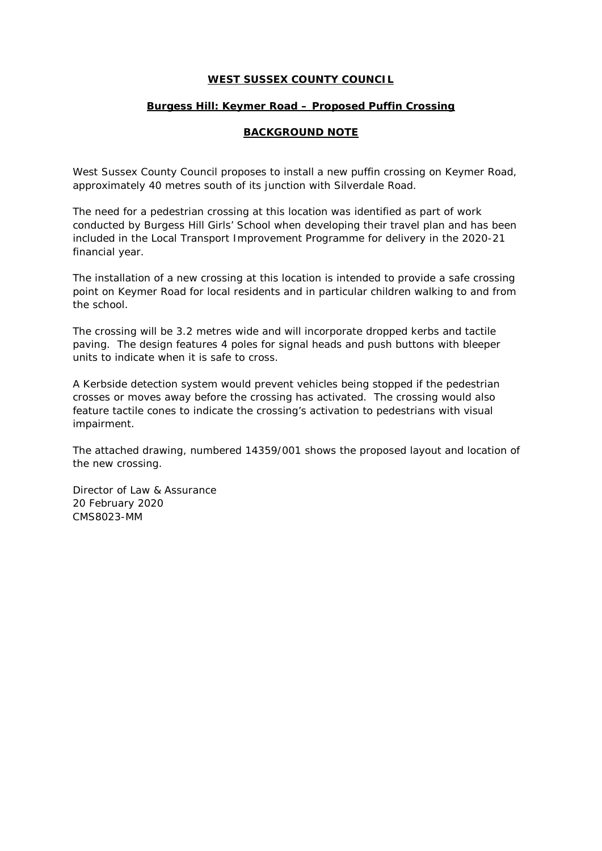#### **WEST SUSSEX COUNTY COUNCIL**

#### **Burgess Hill: Keymer Road – Proposed Puffin Crossing**

#### **BACKGROUND NOTE**

West Sussex County Council proposes to install a new puffin crossing on Keymer Road, approximately 40 metres south of its junction with Silverdale Road.

The need for a pedestrian crossing at this location was identified as part of work conducted by Burgess Hill Girls' School when developing their travel plan and has been included in the Local Transport Improvement Programme for delivery in the 2020-21 financial year.

The installation of a new crossing at this location is intended to provide a safe crossing point on Keymer Road for local residents and in particular children walking to and from the school.

The crossing will be 3.2 metres wide and will incorporate dropped kerbs and tactile paving. The design features 4 poles for signal heads and push buttons with bleeper units to indicate when it is safe to cross.

A Kerbside detection system would prevent vehicles being stopped if the pedestrian crosses or moves away before the crossing has activated. The crossing would also feature tactile cones to indicate the crossing's activation to pedestrians with visual impairment.

The attached drawing, numbered 14359/001 shows the proposed layout and location of the new crossing.

Director of Law & Assurance 20 February 2020 CMS8023-MM